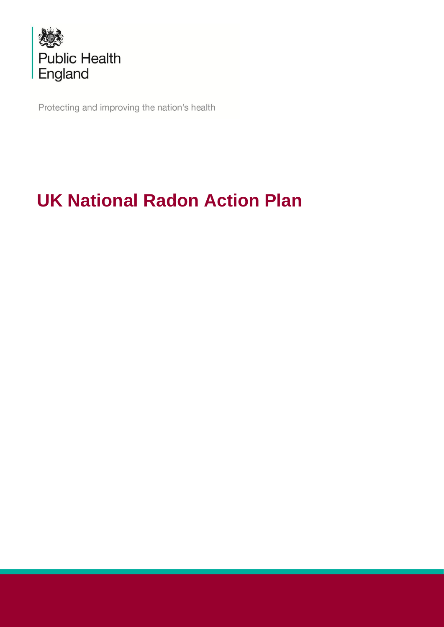

Protecting and improving the nation's health

# **UK National Radon Action Plan**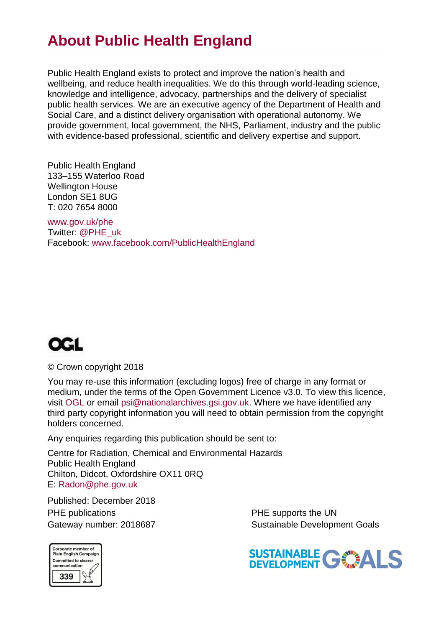## **About Public Health England**

Public Health England exists to protect and improve the nation's health and wellbeing, and reduce health inequalities. We do this through world-leading science, knowledge and intelligence, advocacy, partnerships and the delivery of specialist public health services. We are an executive agency of the Department of Health and Social Care, and a distinct delivery organisation with operational autonomy. We provide government, local government, the NHS, Parliament, industry and the public with evidence-based professional, scientific and delivery expertise and support.

Public Health England 133–155 Waterloo Road Wellington House London SE1 8UG T: 020 7654 8000

www.gov.uk/phe Twitter: @PHE\_uk Facebook: www.facebook.com/PublicHealthEngland



© Crown copyright 2018

You may re-use this information (excluding logos) free of charge in any format or medium, under the terms of the Open Government Licence v3.0. To view this licence, visit OGL or email psi@nationalarchives.gsi.gov.uk. Where we have identified any third party copyright information you will need to obtain permission from the copyright holders concerned.

Any enquiries regarding this publication should be sent to:

Centre for Radiation, Chemical and Environmental Hazards Public Health England Chilton, Didcot, Oxfordshire OX11 0RQ E: Radon@phe.gov.uk

Published: December 2018 PHE publications **PHE** supports the UN

Gateway number: 2018687 Sustainable Development Goals



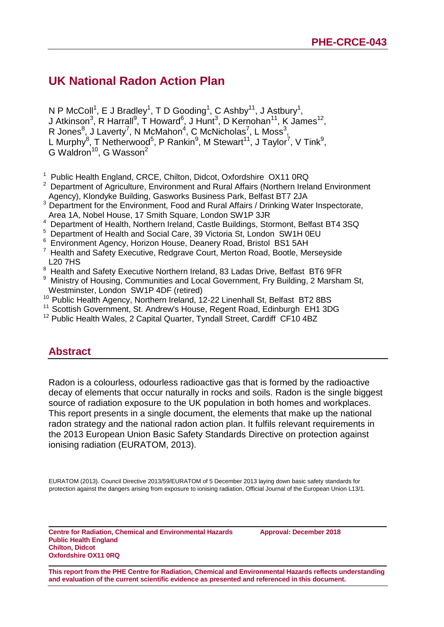## **UK National Radon Action Plan**

N P McColl<sup>1</sup>, E J Bradley<sup>1</sup>, T D Gooding<sup>1</sup>, C Ashby<sup>11</sup>, J Astbury<sup>1</sup>, J Atkinson<sup>3</sup>, R Harrall<sup>9</sup>, T Howard<sup>6</sup>, J Hunt<sup>3</sup>, D Kernohan<sup>11</sup>, K James<sup>12</sup>, R Jones<sup>8</sup>, J Laverty<sup>7</sup>, N McMahon<sup>4</sup>, C McNicholas<sup>7</sup>, L Moss<sup>3</sup>, L Murphy<sup>8</sup>, T Netherwood<sup>5</sup>, P Rankin<sup>9</sup>, M Stewart<sup>11</sup>, J Taylor<sup>7</sup>, V Tink<sup>9</sup>, G Waldron<sup>10</sup>, G Wasson<sup>2</sup>

- <sup>1</sup> Public Health England, CRCE, Chilton, Didcot, Oxfordshire OX11 0RQ
- $2$  Department of Agriculture, Environment and Rural Affairs (Northern Ireland Environment Agency), Klondyke Building, Gasworks Business Park, Belfast BT7 2JA
- <sup>3</sup> Department for the Environment, Food and Rural Affairs / Drinking Water Inspectorate, Area 1A, Nobel House, 17 Smith Square, London SW1P 3JR
- <sup>4</sup> Department of Health, Northern Ireland, Castle Buildings, Stormont, Belfast BT4 3SQ
- <sup>5</sup> Department of Health and Social Care, 39 Victoria St, London SW1H 0EU
- <sup>6</sup> Environment Agency, Horizon House, Deanery Road, Bristol BS1 5AH
- $7$  Health and Safety Executive, Redgrave Court, Merton Road, Bootle, Merseyside L20 7HS
- <sup>8</sup> Health and Safety Executive Northern Ireland, 83 Ladas Drive, Belfast BT6 9FR
- <sup>9</sup> Ministry of Housing, Communities and Local Government, Fry Building, 2 Marsham St, Westminster, London SW1P 4DF (retired)
- <sup>10</sup> Public Health Agency, Northern Ireland, 12-22 Linenhall St, Belfast BT2 8BS
- <sup>11</sup> Scottish Government, St. Andrew's House, Regent Road, Edinburgh EH1 3DG
- <span id="page-2-0"></span><sup>12</sup> Public Health Wales, 2 Capital Quarter, Tyndall Street, Cardiff CF10 4BZ

#### **Abstract**

Radon is a colourless, odourless radioactive gas that is formed by the radioactive decay of elements that occur naturally in rocks and soils. Radon is the single biggest source of radiation exposure to the UK population in both homes and workplaces. This report presents in a single document, the elements that make up the national radon strategy and the national radon action plan. It fulfils relevant requirements in the 2013 European Union Basic Safety Standards Directive on protection against ionising radiation (EURATOM, 2013).

EURATOM (2013). Council Directive 2013/59/EURATOM of 5 December 2013 laying down basic safety standards for protection against the dangers arising from exposure to ionising radiation, Official Journal of the European Union L13/1.

**Centre for Radiation, Chemical and Environmental Hazards Public Health England Chilton, Didcot Oxfordshire OX11 0RQ**

**Approval: December 2018**

**This report from the PHE Centre for Radiation, Chemical and Environmental Hazards reflects understanding and evaluation of the current scientific evidence as presented and referenced in this document.**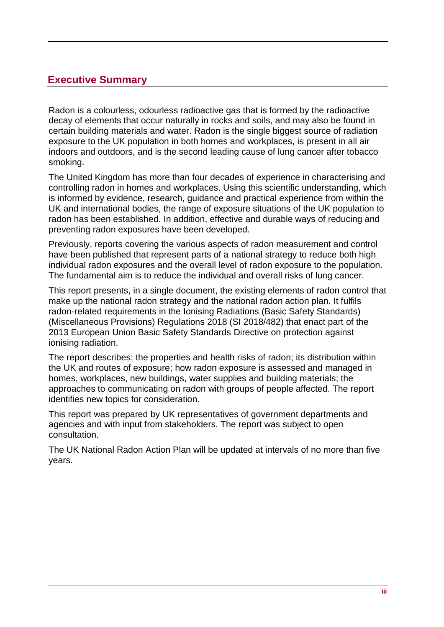## <span id="page-3-0"></span>**Executive Summary**

Radon is a colourless, odourless radioactive gas that is formed by the radioactive decay of elements that occur naturally in rocks and soils, and may also be found in certain building materials and water. Radon is the single biggest source of radiation exposure to the UK population in both homes and workplaces, is present in all air indoors and outdoors, and is the second leading cause of lung cancer after tobacco smoking.

The United Kingdom has more than four decades of experience in characterising and controlling radon in homes and workplaces. Using this scientific understanding, which is informed by evidence, research, guidance and practical experience from within the UK and international bodies, the range of exposure situations of the UK population to radon has been established. In addition, effective and durable ways of reducing and preventing radon exposures have been developed.

Previously, reports covering the various aspects of radon measurement and control have been published that represent parts of a national strategy to reduce both high individual radon exposures and the overall level of radon exposure to the population. The fundamental aim is to reduce the individual and overall risks of lung cancer.

This report presents, in a single document, the existing elements of radon control that make up the national radon strategy and the national radon action plan. It fulfils radon-related requirements in the Ionising Radiations (Basic Safety Standards) (Miscellaneous Provisions) Regulations 2018 (SI 2018/482) that enact part of the 2013 European Union Basic Safety Standards Directive on protection against ionising radiation.

The report describes: the properties and health risks of radon; its distribution within the UK and routes of exposure; how radon exposure is assessed and managed in homes, workplaces, new buildings, water supplies and building materials; the approaches to communicating on radon with groups of people affected. The report identifies new topics for consideration.

This report was prepared by UK representatives of government departments and agencies and with input from stakeholders. The report was subject to open consultation.

The UK National Radon Action Plan will be updated at intervals of no more than five years.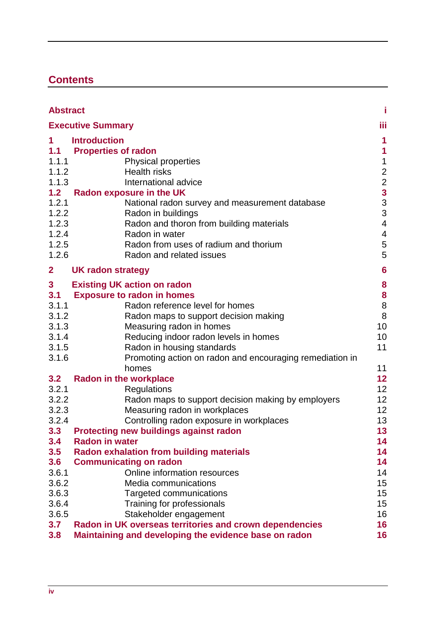## **Contents**

|                | <b>Abstract</b>                                                                  |                                                   |  |  |
|----------------|----------------------------------------------------------------------------------|---------------------------------------------------|--|--|
|                | <b>Executive Summary</b>                                                         | iίi                                               |  |  |
| 1.             | <b>Introduction</b>                                                              |                                                   |  |  |
| 1.1            | <b>Properties of radon</b>                                                       | 1                                                 |  |  |
| 1.1.1          | <b>Physical properties</b>                                                       | $\mathbf 1$                                       |  |  |
| 1.1.2          | <b>Health risks</b>                                                              |                                                   |  |  |
| 1.1.3          | International advice                                                             |                                                   |  |  |
| 1.2            | <b>Radon exposure in the UK</b>                                                  | $\begin{array}{c}\n2 \\ 2 \\ 3 \\ 3\n\end{array}$ |  |  |
| 1.2.1          | National radon survey and measurement database                                   |                                                   |  |  |
| 1.2.2          | Radon in buildings                                                               | 3                                                 |  |  |
| 1.2.3          | Radon and thoron from building materials                                         | $\overline{\mathcal{A}}$                          |  |  |
| 1.2.4          | Radon in water                                                                   | $\overline{4}$                                    |  |  |
| 1.2.5          | Radon from uses of radium and thorium                                            | 5                                                 |  |  |
| 1.2.6          | Radon and related issues                                                         | 5                                                 |  |  |
| $\overline{2}$ | UK radon strategy                                                                | 6                                                 |  |  |
| 3              | <b>Existing UK action on radon</b>                                               | 8                                                 |  |  |
| 3.1            | <b>Exposure to radon in homes</b>                                                | 8                                                 |  |  |
| 3.1.1          | Radon reference level for homes                                                  | 8                                                 |  |  |
| 3.1.2          | Radon maps to support decision making                                            | 8                                                 |  |  |
| 3.1.3          | Measuring radon in homes                                                         | 10                                                |  |  |
| 3.1.4          | Reducing indoor radon levels in homes                                            | 10                                                |  |  |
| 3.1.5          | Radon in housing standards                                                       | 11                                                |  |  |
| 3.1.6          | Promoting action on radon and encouraging remediation in                         |                                                   |  |  |
|                | homes                                                                            | 11                                                |  |  |
| 3.2            | <b>Radon in the workplace</b>                                                    | 12                                                |  |  |
| 3.2.1          | Regulations                                                                      | 12                                                |  |  |
| 3.2.2          | Radon maps to support decision making by employers                               | 12                                                |  |  |
| 3.2.3          | Measuring radon in workplaces                                                    | 12                                                |  |  |
| 3.2.4          | Controlling radon exposure in workplaces                                         | 13                                                |  |  |
| 3.3            | Protecting new buildings against radon                                           | 13                                                |  |  |
| 3.4            | <b>Radon in water</b>                                                            | 14                                                |  |  |
| 3.5<br>3.6     | <b>Radon exhalation from building materials</b><br><b>Communicating on radon</b> | 14<br>14                                          |  |  |
| 3.6.1          | Online information resources                                                     | 14                                                |  |  |
| 3.6.2          | Media communications                                                             | 15                                                |  |  |
| 3.6.3          | <b>Targeted communications</b>                                                   | 15                                                |  |  |
| 3.6.4          | Training for professionals                                                       | 15                                                |  |  |
| 3.6.5          | Stakeholder engagement                                                           | 16                                                |  |  |
| 3.7            | Radon in UK overseas territories and crown dependencies                          | 16                                                |  |  |
| 3.8            | Maintaining and developing the evidence base on radon                            | 16                                                |  |  |
|                |                                                                                  |                                                   |  |  |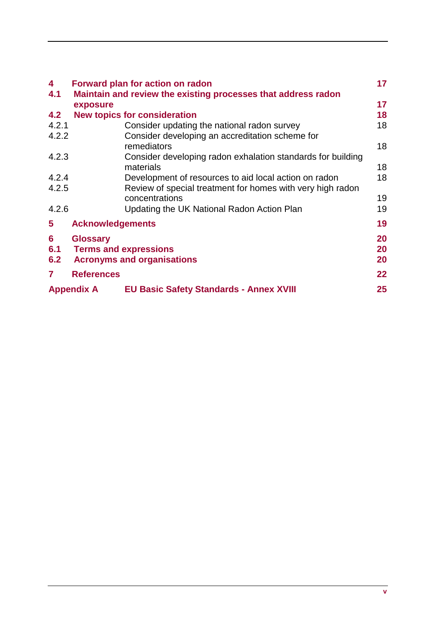<span id="page-5-0"></span>

| 4                 |                         | <b>Forward plan for action on radon</b>                                      | 17      |
|-------------------|-------------------------|------------------------------------------------------------------------------|---------|
| 4.1               |                         | Maintain and review the existing processes that address radon                |         |
|                   | exposure                |                                                                              | 17      |
| 4.2               |                         | <b>New topics for consideration</b>                                          | 18      |
| 4.2.1             |                         | Consider updating the national radon survey                                  | 18      |
| 4.2.2             |                         | Consider developing an accreditation scheme for                              |         |
|                   |                         | remediators                                                                  | 18      |
| 4.2.3             |                         | Consider developing radon exhalation standards for building                  |         |
|                   |                         | materials                                                                    | 18      |
| 4.2.4             |                         | Development of resources to aid local action on radon                        | 18      |
| 4.2.5             |                         | Review of special treatment for homes with very high radon<br>concentrations | 19      |
|                   |                         |                                                                              |         |
| 4.2.6             |                         | Updating the UK National Radon Action Plan                                   | 19      |
| 5                 | <b>Acknowledgements</b> |                                                                              | 19      |
| 6                 | <b>Glossary</b>         |                                                                              | 20      |
| 6.1               |                         | <b>Terms and expressions</b>                                                 | 20      |
| 6.2               |                         | <b>Acronyms and organisations</b>                                            | 20      |
| 7                 | <b>References</b>       |                                                                              | $22 \,$ |
| <b>Appendix A</b> |                         | <b>EU Basic Safety Standards - Annex XVIII</b>                               | $25\,$  |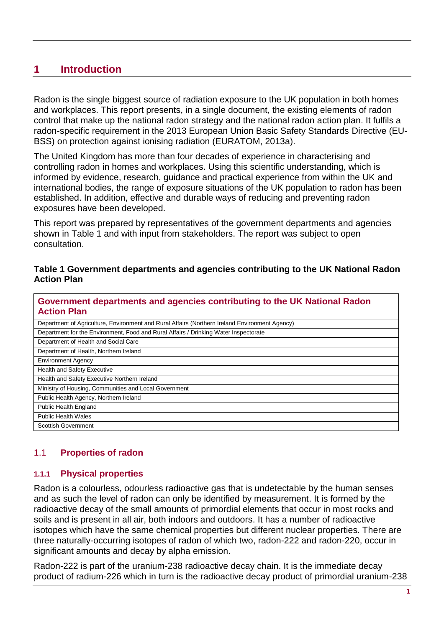## **1 Introduction**

Radon is the single biggest source of radiation exposure to the UK population in both homes and workplaces. This report presents, in a single document, the existing elements of radon control that make up the national radon strategy and the national radon action plan. It fulfils a radon-specific requirement in the 2013 European Union Basic Safety Standards Directive (EU-BSS) on protection against ionising radiation (EURATOM, 2013a).

The United Kingdom has more than four decades of experience in characterising and controlling radon in homes and workplaces. Using this scientific understanding, which is informed by evidence, research, guidance and practical experience from within the UK and international bodies, the range of exposure situations of the UK population to radon has been established. In addition, effective and durable ways of reducing and preventing radon exposures have been developed.

This report was prepared by representatives of the government departments and agencies shown in Table 1 and with input from stakeholders. The report was subject to open consultation.

#### **Table 1 Government departments and agencies contributing to the UK National Radon Action Plan**

| Government departments and agencies contributing to the UK National Radon<br><b>Action Plan</b> |  |  |
|-------------------------------------------------------------------------------------------------|--|--|
| Department of Agriculture, Environment and Rural Affairs (Northern Ireland Environment Agency)  |  |  |
| Department for the Environment, Food and Rural Affairs / Drinking Water Inspectorate            |  |  |
| Department of Health and Social Care                                                            |  |  |
| Department of Health, Northern Ireland                                                          |  |  |
| <b>Environment Agency</b>                                                                       |  |  |
| Health and Safety Executive                                                                     |  |  |
| Health and Safety Executive Northern Ireland                                                    |  |  |
| Ministry of Housing, Communities and Local Government                                           |  |  |
| Public Health Agency, Northern Ireland                                                          |  |  |
| <b>Public Health England</b>                                                                    |  |  |
| <b>Public Health Wales</b>                                                                      |  |  |
| <b>Scottish Government</b>                                                                      |  |  |

#### <span id="page-6-0"></span>1.1 **Properties of radon**

#### <span id="page-6-1"></span>**1.1.1 Physical properties**

Radon is a colourless, odourless radioactive gas that is undetectable by the human senses and as such the level of radon can only be identified by measurement. It is formed by the radioactive decay of the small amounts of primordial elements that occur in most rocks and soils and is present in all air, both indoors and outdoors. It has a number of radioactive isotopes which have the same chemical properties but different nuclear properties. There are three naturally-occurring isotopes of radon of which two, radon-222 and radon-220, occur in significant amounts and decay by alpha emission.

Radon-222 is part of the uranium-238 radioactive decay chain. It is the immediate decay product of radium-226 which in turn is the radioactive decay product of primordial uranium-238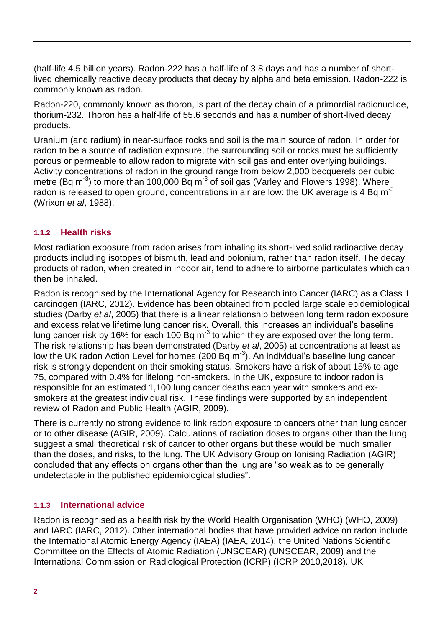(half-life 4.5 billion years). Radon-222 has a half-life of 3.8 days and has a number of shortlived chemically reactive decay products that decay by alpha and beta emission. Radon-222 is commonly known as radon.

Radon-220, commonly known as thoron, is part of the decay chain of a primordial radionuclide, thorium-232. Thoron has a half-life of 55.6 seconds and has a number of short-lived decay products.

Uranium (and radium) in near-surface rocks and soil is the main source of radon. In order for radon to be a source of radiation exposure, the surrounding soil or rocks must be sufficiently porous or permeable to allow radon to migrate with soil gas and enter overlying buildings. Activity concentrations of radon in the ground range from below 2,000 becquerels per cubic metre (Bq m<sup>-3</sup>) to more than 100,000 Bq m<sup>-3</sup> of soil gas (Varley and Flowers 1998). Where radon is released to open ground, concentrations in air are low: the UK average is 4 Bq m<sup>-3</sup> (Wrixon *et al*, 1988).

#### <span id="page-7-0"></span>**1.1.2 Health risks**

Most radiation exposure from radon arises from inhaling its short-lived solid radioactive decay products including isotopes of bismuth, lead and polonium, rather than radon itself. The decay products of radon, when created in indoor air, tend to adhere to airborne particulates which can then be inhaled.

Radon is recognised by the International Agency for Research into Cancer (IARC) as a Class 1 carcinogen (IARC, 2012). Evidence has been obtained from pooled large scale epidemiological studies (Darby *et al*, 2005) that there is a linear relationship between long term radon exposure and excess relative lifetime lung cancer risk. Overall, this increases an individual's baseline lung cancer risk by 16% for each 100 Bq m<sup>-3</sup> to which they are exposed over the long term. The risk relationship has been demonstrated (Darby *et al*, 2005) at concentrations at least as low the UK radon Action Level for homes (200 Bq m $^{-3}$ ). An individual's baseline lung cancer risk is strongly dependent on their smoking status. Smokers have a risk of about 15% to age 75, compared with 0.4% for lifelong non-smokers. In the UK, exposure to indoor radon is responsible for an estimated 1,100 lung cancer deaths each year with smokers and exsmokers at the greatest individual risk. These findings were supported by an independent review of Radon and Public Health (AGIR, 2009).

There is currently no strong evidence to link radon exposure to cancers other than lung cancer or to other disease (AGIR, 2009). Calculations of radiation doses to organs other than the lung suggest a small theoretical risk of cancer to other organs but these would be much smaller than the doses, and risks, to the lung. The UK Advisory Group on Ionising Radiation (AGIR) concluded that any effects on organs other than the lung are "so weak as to be generally undetectable in the published epidemiological studies".

#### <span id="page-7-1"></span>**1.1.3 International advice**

Radon is recognised as a health risk by the World Health Organisation (WHO) (WHO, 2009) and IARC (IARC, 2012). Other international bodies that have provided advice on radon include the International Atomic Energy Agency (IAEA) (IAEA, 2014), the United Nations Scientific Committee on the Effects of Atomic Radiation (UNSCEAR) (UNSCEAR, 2009) and the International Commission on Radiological Protection (ICRP) (ICRP 2010,2018). UK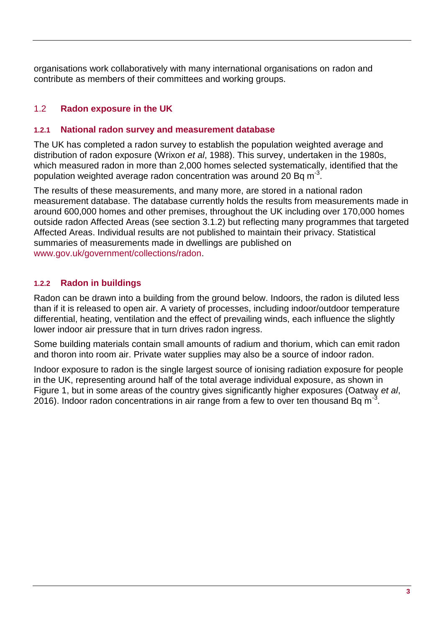organisations work collaboratively with many international organisations on radon and contribute as members of their committees and working groups.

#### <span id="page-8-0"></span>1.2 **Radon exposure in the UK**

#### <span id="page-8-1"></span>**1.2.1 National radon survey and measurement database**

The UK has completed a radon survey to establish the population weighted average and distribution of radon exposure (Wrixon *et al*, 1988). This survey, undertaken in the 1980s, which measured radon in more than 2,000 homes selected systematically, identified that the population weighted average radon concentration was around 20 Bq m<sup>-3</sup>.

The results of these measurements, and many more, are stored in a national radon measurement database. The database currently holds the results from measurements made in around 600,000 homes and other premises, throughout the UK including over 170,000 homes outside radon Affected Areas (see section [3.1.2\)](#page-13-3) but reflecting many programmes that targeted Affected Areas. Individual results are not published to maintain their privacy. Statistical summaries of measurements made in dwellings are published on [www.gov.uk/government/collections/radon.](http://www.gov.uk/government/collections/radon)

#### <span id="page-8-2"></span>**1.2.2 Radon in buildings**

Radon can be drawn into a building from the ground below. Indoors, the radon is diluted less than if it is released to open air. A variety of processes, including indoor/outdoor temperature differential, heating, ventilation and the effect of prevailing winds, each influence the slightly lower indoor air pressure that in turn drives radon ingress.

Some building materials contain small amounts of radium and thorium, which can emit radon and thoron into room air. Private water supplies may also be a source of indoor radon.

Indoor exposure to radon is the single largest source of ionising radiation exposure for people in the UK, representing around half of the total average individual exposure, as shown in [Figure 1,](#page-9-2) but in some areas of the country gives significantly higher exposures (Oatway *et al*, 2016). Indoor radon concentrations in air range from a few to over ten thousand Bq m<sup>-3</sup>.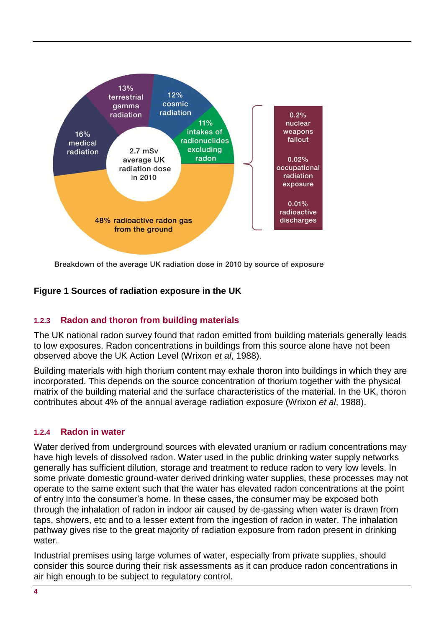

Breakdown of the average UK radiation dose in 2010 by source of exposure

#### <span id="page-9-2"></span>**Figure 1 Sources of radiation exposure in the UK**

#### <span id="page-9-0"></span>**1.2.3 Radon and thoron from building materials**

The UK national radon survey found that radon emitted from building materials generally leads to low exposures. Radon concentrations in buildings from this source alone have not been observed above the UK Action Level (Wrixon *et al*, 1988).

Building materials with high thorium content may exhale thoron into buildings in which they are incorporated. This depends on the source concentration of thorium together with the physical matrix of the building material and the surface characteristics of the material. In the UK, thoron contributes about 4% of the annual average radiation exposure (Wrixon *et al*, 1988).

#### <span id="page-9-1"></span>**1.2.4 Radon in water**

Water derived from underground sources with elevated uranium or radium concentrations may have high levels of dissolved radon. Water used in the public drinking water supply networks generally has sufficient dilution, storage and treatment to reduce radon to very low levels. In some private domestic ground-water derived drinking water supplies, these processes may not operate to the same extent such that the water has elevated radon concentrations at the point of entry into the consumer's home. In these cases, the consumer may be exposed both through the inhalation of radon in indoor air caused by de-gassing when water is drawn from taps, showers, etc and to a lesser extent from the ingestion of radon in water. The inhalation pathway gives rise to the great majority of radiation exposure from radon present in drinking water.

Industrial premises using large volumes of water, especially from private supplies, should consider this source during their risk assessments as it can produce radon concentrations in air high enough to be subject to regulatory control.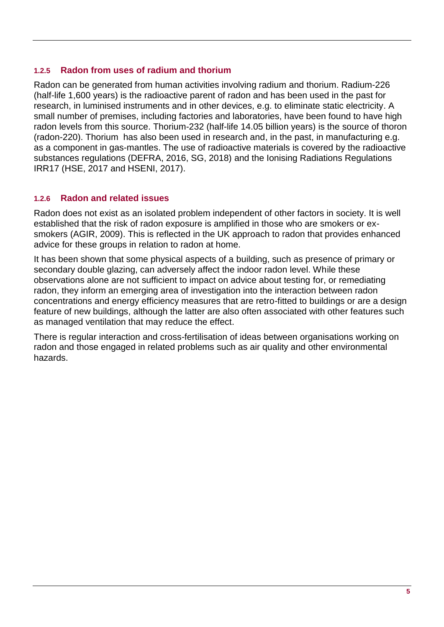#### <span id="page-10-0"></span>**1.2.5 Radon from uses of radium and thorium**

Radon can be generated from human activities involving radium and thorium. Radium-226 (half-life 1,600 years) is the radioactive parent of radon and has been used in the past for research, in luminised instruments and in other devices, e.g. to eliminate static electricity. A small number of premises, including factories and laboratories, have been found to have high radon levels from this source. Thorium-232 (half-life 14.05 billion years) is the source of thoron (radon-220). Thorium has also been used in research and, in the past, in manufacturing e.g. as a component in gas-mantles. The use of radioactive materials is covered by the radioactive substances regulations (DEFRA, 2016, SG, 2018) and the Ionising Radiations Regulations IRR17 (HSE, 2017 and HSENI, 2017).

#### <span id="page-10-1"></span>**1.2.6 Radon and related issues**

Radon does not exist as an isolated problem independent of other factors in society. It is well established that the risk of radon exposure is amplified in those who are smokers or exsmokers (AGIR, 2009). This is reflected in the UK approach to radon that provides enhanced advice for these groups in relation to radon at home.

It has been shown that some physical aspects of a building, such as presence of primary or secondary double glazing, can adversely affect the indoor radon level. While these observations alone are not sufficient to impact on advice about testing for, or remediating radon, they inform an emerging area of investigation into the interaction between radon concentrations and energy efficiency measures that are retro-fitted to buildings or are a design feature of new buildings, although the latter are also often associated with other features such as managed ventilation that may reduce the effect.

<span id="page-10-2"></span>There is regular interaction and cross-fertilisation of ideas between organisations working on radon and those engaged in related problems such as air quality and other environmental hazards.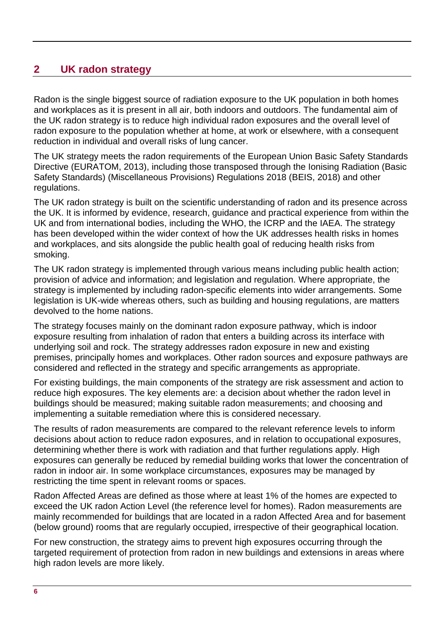## <span id="page-11-0"></span>**2 UK radon strategy**

Radon is the single biggest source of radiation exposure to the UK population in both homes and workplaces as it is present in all air, both indoors and outdoors. The fundamental aim of the UK radon strategy is to reduce high individual radon exposures and the overall level of radon exposure to the population whether at home, at work or elsewhere, with a consequent reduction in individual and overall risks of lung cancer.

The UK strategy meets the radon requirements of the European Union Basic Safety Standards Directive (EURATOM, 2013), including those transposed through the Ionising Radiation (Basic Safety Standards) (Miscellaneous Provisions) Regulations 2018 (BEIS, 2018) and other regulations.

The UK radon strategy is built on the scientific understanding of radon and its presence across the UK. It is informed by evidence, research, guidance and practical experience from within the UK and from international bodies, including the WHO, the ICRP and the IAEA. The strategy has been developed within the wider context of how the UK addresses health risks in homes and workplaces, and sits alongside the public health goal of reducing health risks from smoking.

The UK radon strategy is implemented through various means including public health action; provision of advice and information; and legislation and regulation. Where appropriate, the strategy is implemented by including radon-specific elements into wider arrangements. Some legislation is UK-wide whereas others, such as building and housing regulations, are matters devolved to the home nations.

The strategy focuses mainly on the dominant radon exposure pathway, which is indoor exposure resulting from inhalation of radon that enters a building across its interface with underlying soil and rock. The strategy addresses radon exposure in new and existing premises, principally homes and workplaces. Other radon sources and exposure pathways are considered and reflected in the strategy and specific arrangements as appropriate.

For existing buildings, the main components of the strategy are risk assessment and action to reduce high exposures. The key elements are: a decision about whether the radon level in buildings should be measured; making suitable radon measurements; and choosing and implementing a suitable remediation where this is considered necessary.

The results of radon measurements are compared to the relevant reference levels to inform decisions about action to reduce radon exposures, and in relation to occupational exposures, determining whether there is work with radiation and that further regulations apply. High exposures can generally be reduced by remedial building works that lower the concentration of radon in indoor air. In some workplace circumstances, exposures may be managed by restricting the time spent in relevant rooms or spaces.

Radon Affected Areas are defined as those where at least 1% of the homes are expected to exceed the UK radon Action Level (the reference level for homes). Radon measurements are mainly recommended for buildings that are located in a radon Affected Area and for basement (below ground) rooms that are regularly occupied, irrespective of their geographical location.

For new construction, the strategy aims to prevent high exposures occurring through the targeted requirement of protection from radon in new buildings and extensions in areas where high radon levels are more likely.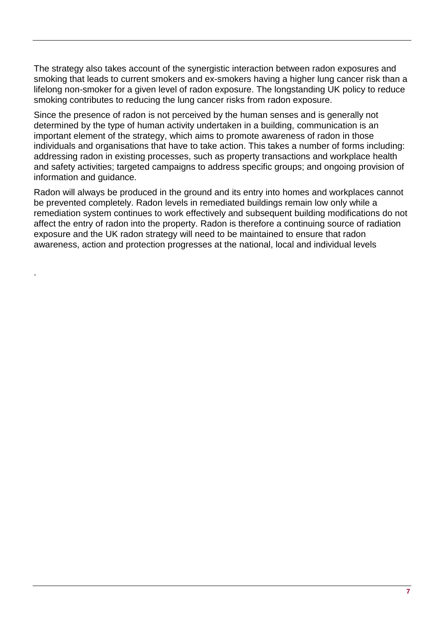The strategy also takes account of the synergistic interaction between radon exposures and smoking that leads to current smokers and ex-smokers having a higher lung cancer risk than a lifelong non-smoker for a given level of radon exposure. The longstanding UK policy to reduce smoking contributes to reducing the lung cancer risks from radon exposure.

Since the presence of radon is not perceived by the human senses and is generally not determined by the type of human activity undertaken in a building, communication is an important element of the strategy, which aims to promote awareness of radon in those individuals and organisations that have to take action. This takes a number of forms including: addressing radon in existing processes, such as property transactions and workplace health and safety activities; targeted campaigns to address specific groups; and ongoing provision of information and guidance.

Radon will always be produced in the ground and its entry into homes and workplaces cannot be prevented completely. Radon levels in remediated buildings remain low only while a remediation system continues to work effectively and subsequent building modifications do not affect the entry of radon into the property. Radon is therefore a continuing source of radiation exposure and the UK radon strategy will need to be maintained to ensure that radon awareness, action and protection progresses at the national, local and individual levels

.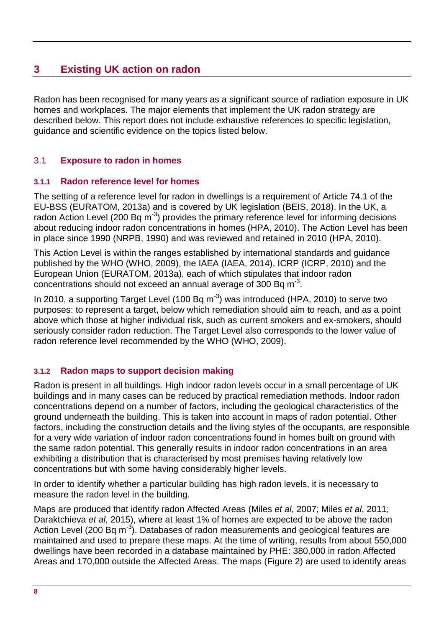## <span id="page-13-0"></span>**3 Existing UK action on radon**

Radon has been recognised for many years as a significant source of radiation exposure in UK homes and workplaces. The major elements that implement the UK radon strategy are described below. This report does not include exhaustive references to specific legislation, guidance and scientific evidence on the topics listed below.

#### <span id="page-13-1"></span>3.1 **Exposure to radon in homes**

#### <span id="page-13-2"></span>**3.1.1 Radon reference level for homes**

The setting of a reference level for radon in dwellings is a requirement of Article 74.1 of the EU-BSS (EURATOM, 2013a) and is covered by UK legislation (BEIS, 2018). In the UK, a radon Action Level (200 Bq m<sup>-3</sup>) provides the primary reference level for informing decisions about reducing indoor radon concentrations in homes (HPA, 2010). The Action Level has been in place since 1990 (NRPB, 1990) and was reviewed and retained in 2010 (HPA, 2010).

This Action Level is within the ranges established by international standards and guidance published by the WHO (WHO, 2009), the IAEA (IAEA, 2014), ICRP (ICRP, 2010) and the European Union (EURATOM, 2013a), each of which stipulates that indoor radon concentrations should not exceed an annual average of 300 Bq m $3$ .

In 2010, a supporting Target Level (100 Bq  $m^{-3}$ ) was introduced (HPA, 2010) to serve two purposes: to represent a target, below which remediation should aim to reach, and as a point above which those at higher individual risk, such as current smokers and ex-smokers, should seriously consider radon reduction. The Target Level also corresponds to the lower value of radon reference level recommended by the WHO (WHO, 2009).

#### <span id="page-13-3"></span>**3.1.2 Radon maps to support decision making**

Radon is present in all buildings. High indoor radon levels occur in a small percentage of UK buildings and in many cases can be reduced by practical remediation methods. Indoor radon concentrations depend on a number of factors, including the geological characteristics of the ground underneath the building. This is taken into account in maps of radon potential. Other factors, including the construction details and the living styles of the occupants, are responsible for a very wide variation of indoor radon concentrations found in homes built on ground with the same radon potential. This generally results in indoor radon concentrations in an area exhibiting a distribution that is characterised by most premises having relatively low concentrations but with some having considerably higher levels.

In order to identify whether a particular building has high radon levels, it is necessary to measure the radon level in the building.

Maps are produced that identify radon Affected Areas (Miles *et al*, 2007; Miles *et al*, 2011; Daraktchieva *et al*, 2015), where at least 1% of homes are expected to be above the radon Action Level (200 Bq m<sup>-3</sup>). Databases of radon measurements and geological features are maintained and used to prepare these maps. At the time of writing, results from about 550,000 dwellings have been recorded in a database maintained by PHE: 380,000 in radon Affected Areas and 170,000 outside the Affected Areas. The maps (Figure 2) are used to identify areas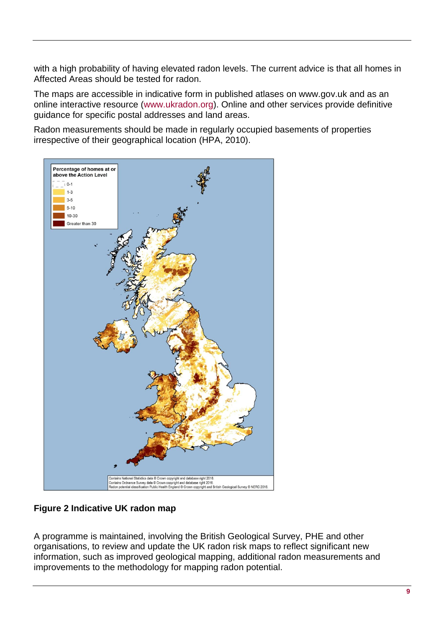with a high probability of having elevated radon levels. The current advice is that all homes in Affected Areas should be tested for radon.

The maps are accessible in indicative form in published atlases on www.gov.uk and as an online interactive resource [\(www.ukradon.org\)](http://www.ukradon.org/). Online and other services provide definitive guidance for specific postal addresses and land areas.

Radon measurements should be made in regularly occupied basements of properties irrespective of their geographical location (HPA, 2010).



#### **Figure 2 Indicative UK radon map**

A programme is maintained, involving the British Geological Survey, PHE and other organisations, to review and update the UK radon risk maps to reflect significant new information, such as improved geological mapping, additional radon measurements and improvements to the methodology for mapping radon potential.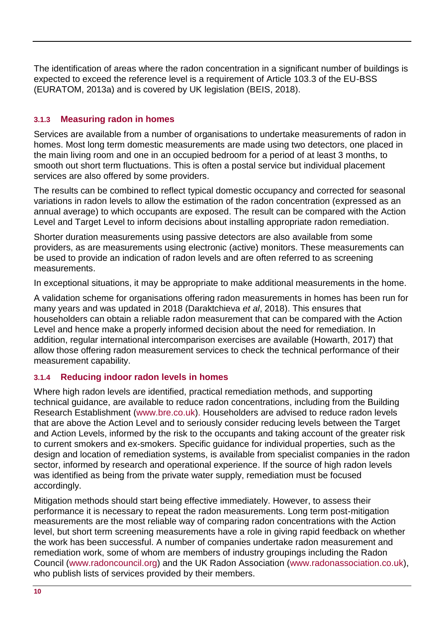The identification of areas where the radon concentration in a significant number of buildings is expected to exceed the reference level is a requirement of Article 103.3 of the EU-BSS (EURATOM, 2013a) and is covered by UK legislation (BEIS, 2018).

#### <span id="page-15-0"></span>**3.1.3 Measuring radon in homes**

Services are available from a number of organisations to undertake measurements of radon in homes. Most long term domestic measurements are made using two detectors, one placed in the main living room and one in an occupied bedroom for a period of at least 3 months, to smooth out short term fluctuations. This is often a postal service but individual placement services are also offered by some providers.

The results can be combined to reflect typical domestic occupancy and corrected for seasonal variations in radon levels to allow the estimation of the radon concentration (expressed as an annual average) to which occupants are exposed. The result can be compared with the Action Level and Target Level to inform decisions about installing appropriate radon remediation.

Shorter duration measurements using passive detectors are also available from some providers, as are measurements using electronic (active) monitors. These measurements can be used to provide an indication of radon levels and are often referred to as screening measurements.

In exceptional situations, it may be appropriate to make additional measurements in the home.

A validation scheme for organisations offering radon measurements in homes has been run for many years and was updated in 2018 (Daraktchieva *et al*, 2018). This ensures that householders can obtain a reliable radon measurement that can be compared with the Action Level and hence make a properly informed decision about the need for remediation. In addition, regular international intercomparison exercises are available (Howarth, 2017) that allow those offering radon measurement services to check the technical performance of their measurement capability.

#### <span id="page-15-1"></span>**3.1.4 Reducing indoor radon levels in homes**

Where high radon levels are identified, practical remediation methods, and supporting technical guidance, are available to reduce radon concentrations, including from the Building Research Establishment [\(www.bre.co.uk\)](http://www.bre.co.uk/). Householders are advised to reduce radon levels that are above the Action Level and to seriously consider reducing levels between the Target and Action Levels, informed by the risk to the occupants and taking account of the greater risk to current smokers and ex-smokers. Specific guidance for individual properties, such as the design and location of remediation systems, is available from specialist companies in the radon sector, informed by research and operational experience. If the source of high radon levels was identified as being from the private water supply, remediation must be focused accordingly.

Mitigation methods should start being effective immediately. However, to assess their performance it is necessary to repeat the radon measurements. Long term post-mitigation measurements are the most reliable way of comparing radon concentrations with the Action level, but short term screening measurements have a role in giving rapid feedback on whether the work has been successful. A number of companies undertake radon measurement and remediation work, some of whom are members of industry groupings including the Radon Council [\(www.radoncouncil.org\)](http://www.radoncouncil.org/) and the UK Radon Association [\(www.radonassociation.co.uk\)](http://www.radonassociation.co.uk/), who publish lists of services provided by their members.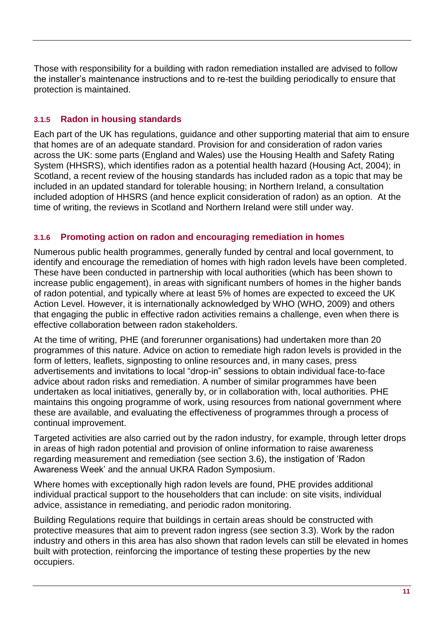Those with responsibility for a building with radon remediation installed are advised to follow the installer's maintenance instructions and to re-test the building periodically to ensure that protection is maintained.

#### <span id="page-16-0"></span>**3.1.5 Radon in housing standards**

Each part of the UK has regulations, guidance and other supporting material that aim to ensure that homes are of an adequate standard. Provision for and consideration of radon varies across the UK: some parts (England and Wales) use the Housing Health and Safety Rating System (HHSRS), which identifies radon as a potential health hazard (Housing Act, 2004); in Scotland, a recent review of the housing standards has included radon as a topic that may be included in an updated standard for tolerable housing; in Northern Ireland, a consultation included adoption of HHSRS (and hence explicit consideration of radon) as an option. At the time of writing, the reviews in Scotland and Northern Ireland were still under way.

#### <span id="page-16-1"></span>**3.1.6 Promoting action on radon and encouraging remediation in homes**

Numerous public health programmes, generally funded by central and local government, to identify and encourage the remediation of homes with high radon levels have been completed. These have been conducted in partnership with local authorities (which has been shown to increase public engagement), in areas with significant numbers of homes in the higher bands of radon potential, and typically where at least 5% of homes are expected to exceed the UK Action Level. However, it is internationally acknowledged by WHO (WHO, 2009) and others that engaging the public in effective radon activities remains a challenge, even when there is effective collaboration between radon stakeholders.

At the time of writing, PHE (and forerunner organisations) had undertaken more than 20 programmes of this nature. Advice on action to remediate high radon levels is provided in the form of letters, leaflets, signposting to online resources and, in many cases, press advertisements and invitations to local "drop-in" sessions to obtain individual face-to-face advice about radon risks and remediation. A number of similar programmes have been undertaken as local initiatives, generally by, or in collaboration with, local authorities. PHE maintains this ongoing programme of work, using resources from national government where these are available, and evaluating the effectiveness of programmes through a process of continual improvement.

Targeted activities are also carried out by the radon industry, for example, through letter drops in areas of high radon potential and provision of online information to raise awareness regarding measurement and remediation (see section 3.6), the instigation of 'Radon Awareness Week' and the annual UKRA Radon Symposium.

Where homes with exceptionally high radon levels are found, PHE provides additional individual practical support to the householders that can include: on site visits, individual advice, assistance in remediating, and periodic radon monitoring.

Building Regulations require that buildings in certain areas should be constructed with protective measures that aim to prevent radon ingress (see section 3.3). Work by the radon industry and others in this area has also shown that radon levels can still be elevated in homes built with protection, reinforcing the importance of testing these properties by the new occupiers.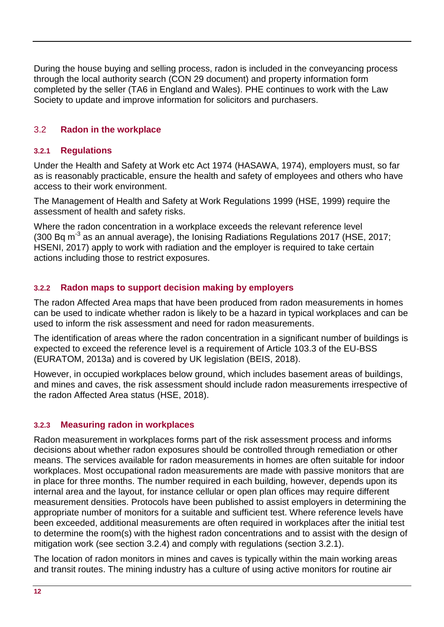During the house buying and selling process, radon is included in the conveyancing process through the local authority search (CON 29 document) and property information form completed by the seller (TA6 in England and Wales). PHE continues to work with the Law Society to update and improve information for solicitors and purchasers.

#### <span id="page-17-0"></span>3.2 **Radon in the workplace**

#### <span id="page-17-1"></span>**3.2.1 Regulations**

Under the Health and Safety at Work etc Act 1974 (HASAWA, 1974), employers must, so far as is reasonably practicable, ensure the health and safety of employees and others who have access to their work environment.

The Management of Health and Safety at Work Regulations 1999 (HSE, 1999) require the assessment of health and safety risks.

Where the radon concentration in a workplace exceeds the relevant reference level (300 Bq m<sup>-3</sup> as an annual average), the Ionising Radiations Regulations 2017 (HSE, 2017; HSENI, 2017) apply to work with radiation and the employer is required to take certain actions including those to restrict exposures.

#### <span id="page-17-2"></span>**3.2.2 Radon maps to support decision making by employers**

The radon Affected Area maps that have been produced from radon measurements in homes can be used to indicate whether radon is likely to be a hazard in typical workplaces and can be used to inform the risk assessment and need for radon measurements.

The identification of areas where the radon concentration in a significant number of buildings is expected to exceed the reference level is a requirement of Article 103.3 of the EU-BSS (EURATOM, 2013a) and is covered by UK legislation (BEIS, 2018).

However, in occupied workplaces below ground, which includes basement areas of buildings, and mines and caves, the risk assessment should include radon measurements irrespective of the radon Affected Area status (HSE, 2018).

#### <span id="page-17-3"></span>**3.2.3 Measuring radon in workplaces**

Radon measurement in workplaces forms part of the risk assessment process and informs decisions about whether radon exposures should be controlled through remediation or other means. The services available for radon measurements in homes are often suitable for indoor workplaces. Most occupational radon measurements are made with passive monitors that are in place for three months. The number required in each building, however, depends upon its internal area and the layout, for instance cellular or open plan offices may require different measurement densities. Protocols have been published to assist employers in determining the appropriate number of monitors for a suitable and sufficient test. Where reference levels have been exceeded, additional measurements are often required in workplaces after the initial test to determine the room(s) with the highest radon concentrations and to assist with the design of mitigation work (see section 3.2.4) and comply with regulations (section 3.2.1).

The location of radon monitors in mines and caves is typically within the main working areas and transit routes. The mining industry has a culture of using active monitors for routine air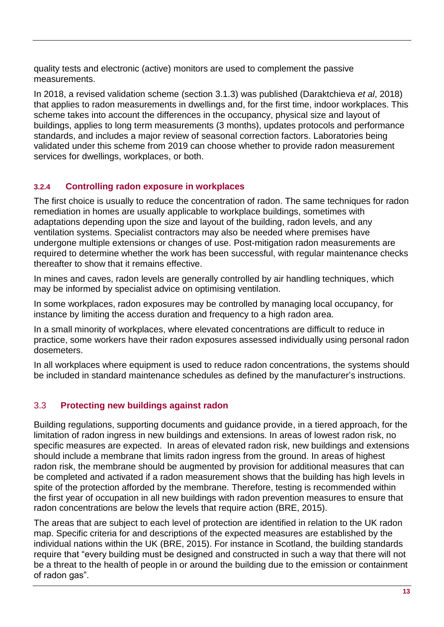quality tests and electronic (active) monitors are used to complement the passive measurements.

In 2018, a revised validation scheme (section 3.1.3) was published (Daraktchieva *et al*, 2018) that applies to radon measurements in dwellings and, for the first time, indoor workplaces. This scheme takes into account the differences in the occupancy, physical size and layout of buildings, applies to long term measurements (3 months), updates protocols and performance standards, and includes a major review of seasonal correction factors. Laboratories being validated under this scheme from 2019 can choose whether to provide radon measurement services for dwellings, workplaces, or both.

#### <span id="page-18-0"></span>**3.2.4 Controlling radon exposure in workplaces**

The first choice is usually to reduce the concentration of radon. The same techniques for radon remediation in homes are usually applicable to workplace buildings, sometimes with adaptations depending upon the size and layout of the building, radon levels, and any ventilation systems. Specialist contractors may also be needed where premises have undergone multiple extensions or changes of use. Post-mitigation radon measurements are required to determine whether the work has been successful, with regular maintenance checks thereafter to show that it remains effective.

In mines and caves, radon levels are generally controlled by air handling techniques, which may be informed by specialist advice on optimising ventilation.

In some workplaces, radon exposures may be controlled by managing local occupancy, for instance by limiting the access duration and frequency to a high radon area.

In a small minority of workplaces, where elevated concentrations are difficult to reduce in practice, some workers have their radon exposures assessed individually using personal radon dosemeters.

In all workplaces where equipment is used to reduce radon concentrations, the systems should be included in standard maintenance schedules as defined by the manufacturer's instructions.

#### <span id="page-18-1"></span>3.3 **Protecting new buildings against radon**

Building regulations, supporting documents and guidance provide, in a tiered approach, for the limitation of radon ingress in new buildings and extensions. In areas of lowest radon risk, no specific measures are expected. In areas of elevated radon risk, new buildings and extensions should include a membrane that limits radon ingress from the ground. In areas of highest radon risk, the membrane should be augmented by provision for additional measures that can be completed and activated if a radon measurement shows that the building has high levels in spite of the protection afforded by the membrane. Therefore, testing is recommended within the first year of occupation in all new buildings with radon prevention measures to ensure that radon concentrations are below the levels that require action (BRE, 2015).

The areas that are subject to each level of protection are identified in relation to the UK radon map. Specific criteria for and descriptions of the expected measures are established by the individual nations within the UK (BRE, 2015). For instance in Scotland, the building standards require that "every building must be designed and constructed in such a way that there will not be a threat to the health of people in or around the building due to the emission or containment of radon gas".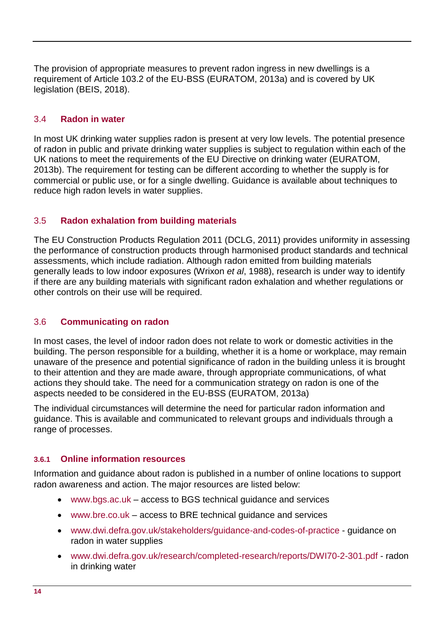The provision of appropriate measures to prevent radon ingress in new dwellings is a requirement of Article 103.2 of the EU-BSS (EURATOM, 2013a) and is covered by UK legislation (BEIS, 2018).

#### <span id="page-19-0"></span>3.4 **Radon in water**

In most UK drinking water supplies radon is present at very low levels. The potential presence of radon in public and private drinking water supplies is subject to regulation within each of the UK nations to meet the requirements of the EU Directive on drinking water (EURATOM, 2013b). The requirement for testing can be different according to whether the supply is for commercial or public use, or for a single dwelling. Guidance is available about techniques to reduce high radon levels in water supplies.

#### <span id="page-19-1"></span>3.5 **Radon exhalation from building materials**

The EU Construction Products Regulation 2011 (DCLG, 2011) provides uniformity in assessing the performance of construction products through harmonised product standards and technical assessments, which include radiation. Although radon emitted from building materials generally leads to low indoor exposures (Wrixon *et al*, 1988), research is under way to identify if there are any building materials with significant radon exhalation and whether regulations or other controls on their use will be required.

#### <span id="page-19-2"></span>3.6 **Communicating on radon**

In most cases, the level of indoor radon does not relate to work or domestic activities in the building. The person responsible for a building, whether it is a home or workplace, may remain unaware of the presence and potential significance of radon in the building unless it is brought to their attention and they are made aware, through appropriate communications, of what actions they should take. The need for a communication strategy on radon is one of the aspects needed to be considered in the EU-BSS (EURATOM, 2013a)

The individual circumstances will determine the need for particular radon information and guidance. This is available and communicated to relevant groups and individuals through a range of processes.

#### <span id="page-19-3"></span>**3.6.1 Online information resources**

Information and guidance about radon is published in a number of online locations to support radon awareness and action. The major resources are listed below:

- [www.bgs.ac.uk](http://www.bgs.ac.uk/) access to BGS technical guidance and services
- [www.bre.co.uk](http://www.bre.co.uk/) access to BRE technical guidance and services
- [www.dwi.defra.gov.uk/stakeholders/guidance-and-codes-of-practice](http://www.dwi.defra.gov.uk/stakeholders/guidance-and-codes-of-practice/) guidance on radon in water supplies
- [www.dwi.defra.gov.uk/research/completed-research/reports/DWI70-2-301.pdf -](http://www.dwi.defra.gov.uk/research/completed-research/reports/DWI70-2-301.pdf) radon in drinking water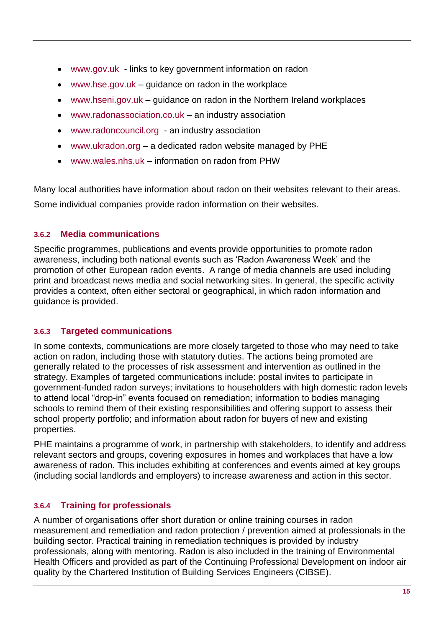- [www.gov.uk](http://www.gov.uk/)  links to key government information on radon
- [www.hse.gov.uk](http://www.hse.gov.uk/) guidance on radon in the workplace
- [www.hseni.gov.uk](http://www.hseni.gov.uk/) guidance on radon in the Northern Ireland workplaces
- [www.radonassociation.co.uk](http://www.radonassociation.co.uk/) an industry association
- [www.radoncouncil.org](http://www.radoncouncil.org/) an industry association
- [www.ukradon.org](http://www.ukradon.org/) a dedicated radon website managed by PHE
- [www.wales.nhs.uk](http://www.wales.nhs.uk/) information on radon from PHW

Many local authorities have information about radon on their websites relevant to their areas. Some individual companies provide radon information on their websites.

#### <span id="page-20-0"></span>**3.6.2 Media communications**

Specific programmes, publications and events provide opportunities to promote radon awareness, including both national events such as 'Radon Awareness Week' and the promotion of other European radon events. A range of media channels are used including print and broadcast news media and social networking sites. In general, the specific activity provides a context, often either sectoral or geographical, in which radon information and guidance is provided.

#### <span id="page-20-1"></span>**3.6.3 Targeted communications**

In some contexts, communications are more closely targeted to those who may need to take action on radon, including those with statutory duties. The actions being promoted are generally related to the processes of risk assessment and intervention as outlined in the strategy. Examples of targeted communications include: postal invites to participate in government-funded radon surveys; invitations to householders with high domestic radon levels to attend local "drop-in" events focused on remediation; information to bodies managing schools to remind them of their existing responsibilities and offering support to assess their school property portfolio; and information about radon for buyers of new and existing properties.

PHE maintains a programme of work, in partnership with stakeholders, to identify and address relevant sectors and groups, covering exposures in homes and workplaces that have a low awareness of radon. This includes exhibiting at conferences and events aimed at key groups (including social landlords and employers) to increase awareness and action in this sector.

#### <span id="page-20-2"></span>**3.6.4 Training for professionals**

A number of organisations offer short duration or online training courses in radon measurement and remediation and radon protection / prevention aimed at professionals in the building sector. Practical training in remediation techniques is provided by industry professionals, along with mentoring. Radon is also included in the training of Environmental Health Officers and provided as part of the Continuing Professional Development on indoor air quality by the Chartered Institution of Building Services Engineers (CIBSE).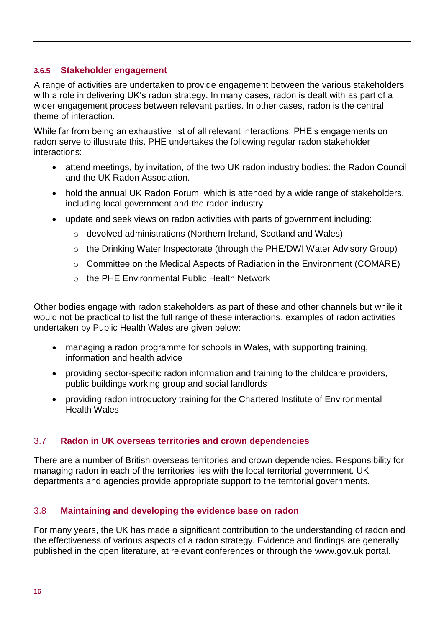#### <span id="page-21-0"></span>**3.6.5 Stakeholder engagement**

A range of activities are undertaken to provide engagement between the various stakeholders with a role in delivering UK's radon strategy. In many cases, radon is dealt with as part of a wider engagement process between relevant parties. In other cases, radon is the central theme of interaction.

While far from being an exhaustive list of all relevant interactions, PHE's engagements on radon serve to illustrate this. PHE undertakes the following regular radon stakeholder interactions:

- attend meetings, by invitation, of the two UK radon industry bodies: the Radon Council and the UK Radon Association.
- hold the annual UK Radon Forum, which is attended by a wide range of stakeholders, including local government and the radon industry
- update and seek views on radon activities with parts of government including:
	- o devolved administrations (Northern Ireland, Scotland and Wales)
	- o the Drinking Water Inspectorate (through the PHE/DWI Water Advisory Group)
	- o Committee on the Medical Aspects of Radiation in the Environment (COMARE)
	- o the PHE Environmental Public Health Network

Other bodies engage with radon stakeholders as part of these and other channels but while it would not be practical to list the full range of these interactions, examples of radon activities undertaken by Public Health Wales are given below:

- managing a radon programme for schools in Wales, with supporting training, information and health advice
- providing sector-specific radon information and training to the childcare providers, public buildings working group and social landlords
- providing radon introductory training for the Chartered Institute of Environmental Health Wales

#### <span id="page-21-1"></span>3.7 **Radon in UK overseas territories and crown dependencies**

There are a number of British overseas territories and crown dependencies. Responsibility for managing radon in each of the territories lies with the local territorial government. UK departments and agencies provide appropriate support to the territorial governments.

#### <span id="page-21-2"></span>3.8 **Maintaining and developing the evidence base on radon**

For many years, the UK has made a significant contribution to the understanding of radon and the effectiveness of various aspects of a radon strategy. Evidence and findings are generally published in the open literature, at relevant conferences or through the www.gov.uk portal.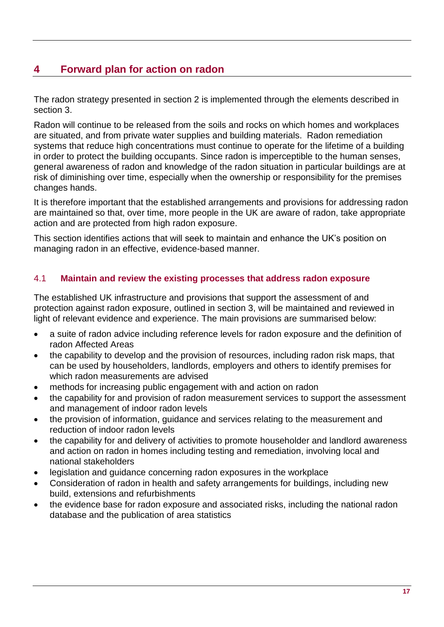## <span id="page-22-0"></span>**4 Forward plan for action on radon**

The radon strategy presented in section [2](#page-10-2) is implemented through the elements described in section [3.](#page-13-0)

Radon will continue to be released from the soils and rocks on which homes and workplaces are situated, and from private water supplies and building materials. Radon remediation systems that reduce high concentrations must continue to operate for the lifetime of a building in order to protect the building occupants. Since radon is imperceptible to the human senses, general awareness of radon and knowledge of the radon situation in particular buildings are at risk of diminishing over time, especially when the ownership or responsibility for the premises changes hands.

It is therefore important that the established arrangements and provisions for addressing radon are maintained so that, over time, more people in the UK are aware of radon, take appropriate action and are protected from high radon exposure.

This section identifies actions that will seek to maintain and enhance the UK's position on managing radon in an effective, evidence-based manner.

#### <span id="page-22-1"></span>4.1 **Maintain and review the existing processes that address radon exposure**

The established UK infrastructure and provisions that support the assessment of and protection against radon exposure, outlined in section [3,](#page-13-0) will be maintained and reviewed in light of relevant evidence and experience. The main provisions are summarised below:

- a suite of radon advice including reference levels for radon exposure and the definition of radon Affected Areas
- the capability to develop and the provision of resources, including radon risk maps, that can be used by householders, landlords, employers and others to identify premises for which radon measurements are advised
- methods for increasing public engagement with and action on radon
- the capability for and provision of radon measurement services to support the assessment and management of indoor radon levels
- the provision of information, guidance and services relating to the measurement and reduction of indoor radon levels
- the capability for and delivery of activities to promote householder and landlord awareness and action on radon in homes including testing and remediation, involving local and national stakeholders
- legislation and guidance concerning radon exposures in the workplace
- Consideration of radon in health and safety arrangements for buildings, including new build, extensions and refurbishments
- the evidence base for radon exposure and associated risks, including the national radon database and the publication of area statistics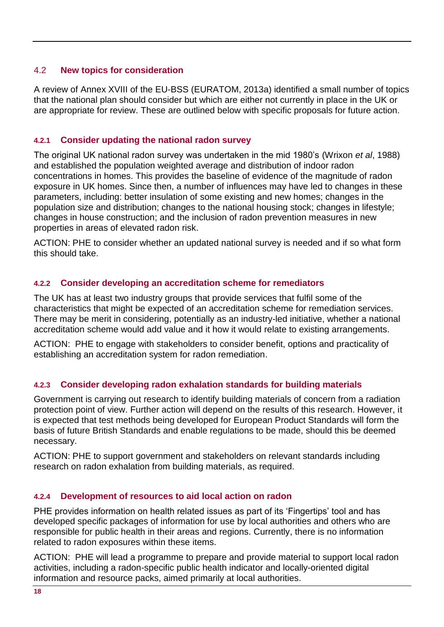#### <span id="page-23-0"></span>4.2 **New topics for consideration**

A review of Annex XVIII of the EU-BSS (EURATOM, 2013a) identified a small number of topics that the national plan should consider but which are either not currently in place in the UK or are appropriate for review. These are outlined below with specific proposals for future action.

#### <span id="page-23-1"></span>**4.2.1 Consider updating the national radon survey**

The original UK national radon survey was undertaken in the mid 1980's (Wrixon *et al*, 1988) and established the population weighted average and distribution of indoor radon concentrations in homes. This provides the baseline of evidence of the magnitude of radon exposure in UK homes. Since then, a number of influences may have led to changes in these parameters, including: better insulation of some existing and new homes; changes in the population size and distribution; changes to the national housing stock; changes in lifestyle; changes in house construction; and the inclusion of radon prevention measures in new properties in areas of elevated radon risk.

ACTION: PHE to consider whether an updated national survey is needed and if so what form this should take.

#### <span id="page-23-2"></span>**4.2.2 Consider developing an accreditation scheme for remediators**

The UK has at least two industry groups that provide services that fulfil some of the characteristics that might be expected of an accreditation scheme for remediation services. There may be merit in considering, potentially as an industry-led initiative, whether a national accreditation scheme would add value and it how it would relate to existing arrangements.

ACTION: PHE to engage with stakeholders to consider benefit, options and practicality of establishing an accreditation system for radon remediation.

#### <span id="page-23-3"></span>**4.2.3 Consider developing radon exhalation standards for building materials**

Government is carrying out research to identify building materials of concern from a radiation protection point of view. Further action will depend on the results of this research. However, it is expected that test methods being developed for European Product Standards will form the basis of future British Standards and enable regulations to be made, should this be deemed necessary.

ACTION: PHE to support government and stakeholders on relevant standards including research on radon exhalation from building materials, as required.

#### <span id="page-23-4"></span>**4.2.4 Development of resources to aid local action on radon**

PHE provides information on health related issues as part of its 'Fingertips' tool and has developed specific packages of information for use by local authorities and others who are responsible for public health in their areas and regions. Currently, there is no information related to radon exposures within these items.

ACTION: PHE will lead a programme to prepare and provide material to support local radon activities, including a radon-specific public health indicator and locally-oriented digital information and resource packs, aimed primarily at local authorities.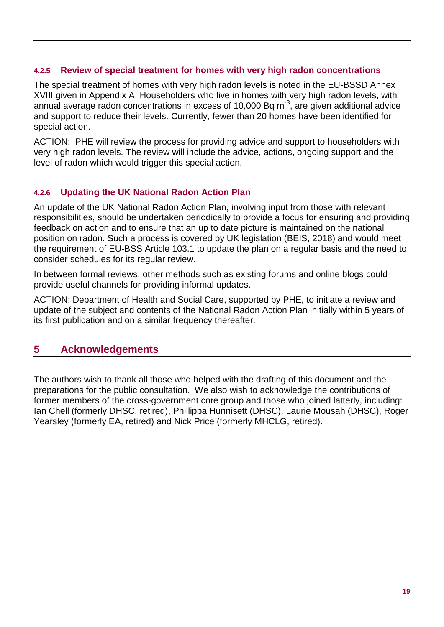#### <span id="page-24-0"></span>**4.2.5 Review of special treatment for homes with very high radon concentrations**

The special treatment of homes with very high radon levels is noted in the EU-BSSD Annex XVIII given in Appendix A. Householders who live in homes with very high radon levels, with annual average radon concentrations in excess of 10,000 Bq  $m<sup>-3</sup>$ , are given additional advice and support to reduce their levels. Currently, fewer than 20 homes have been identified for special action.

ACTION: PHE will review the process for providing advice and support to householders with very high radon levels. The review will include the advice, actions, ongoing support and the level of radon which would trigger this special action.

#### <span id="page-24-1"></span>**4.2.6 Updating the UK National Radon Action Plan**

An update of the UK National Radon Action Plan, involving input from those with relevant responsibilities, should be undertaken periodically to provide a focus for ensuring and providing feedback on action and to ensure that an up to date picture is maintained on the national position on radon. Such a process is covered by UK legislation (BEIS, 2018) and would meet the requirement of EU-BSS Article 103.1 to update the plan on a regular basis and the need to consider schedules for its regular review.

In between formal reviews, other methods such as existing forums and online blogs could provide useful channels for providing informal updates.

ACTION: Department of Health and Social Care, supported by PHE, to initiate a review and update of the subject and contents of the National Radon Action Plan initially within 5 years of its first publication and on a similar frequency thereafter.

#### <span id="page-24-2"></span>**5 Acknowledgements**

The authors wish to thank all those who helped with the drafting of this document and the preparations for the public consultation. We also wish to acknowledge the contributions of former members of the cross-government core group and those who joined latterly, including: Ian Chell (formerly DHSC, retired), Phillippa Hunnisett (DHSC), Laurie Mousah (DHSC), Roger Yearsley (formerly EA, retired) and Nick Price (formerly MHCLG, retired).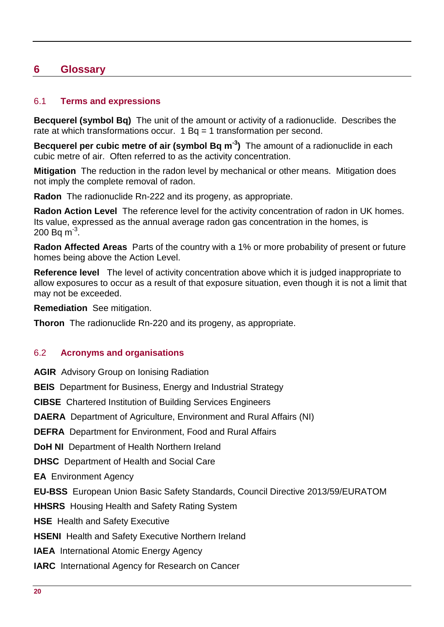## <span id="page-25-0"></span>**6 Glossary**

#### <span id="page-25-1"></span>6.1 **Terms and expressions**

**Becquerel (symbol Bq)** The unit of the amount or activity of a radionuclide. Describes the rate at which transformations occur.  $1$  Bq = 1 transformation per second.

**Becquerel per cubic metre of air (symbol Bq m-3 )** The amount of a radionuclide in each cubic metre of air. Often referred to as the activity concentration.

**Mitigation** The reduction in the radon level by mechanical or other means. Mitigation does not imply the complete removal of radon.

**Radon** The radionuclide Rn-222 and its progeny, as appropriate.

**Radon Action Level** The reference level for the activity concentration of radon in UK homes. Its value, expressed as the annual average radon gas concentration in the homes, is 200 Bq m $^{-3}$ .

**Radon Affected Areas** Parts of the country with a 1% or more probability of present or future homes being above the Action Level.

**Reference level** The level of activity concentration above which it is judged inappropriate to allow exposures to occur as a result of that exposure situation, even though it is not a limit that may not be exceeded.

**Remediation** See mitigation.

**Thoron** The radionuclide Rn-220 and its progeny, as appropriate.

#### <span id="page-25-2"></span>6.2 **Acronyms and organisations**

**AGIR** Advisory Group on Ionising Radiation

**BEIS** Department for Business, Energy and Industrial Strategy

**CIBSE** Chartered Institution of Building Services Engineers

**DAERA** Department of Agriculture, Environment and Rural Affairs (NI)

**DEFRA** Department for Environment, Food and Rural Affairs

**DoH NI** Department of Health Northern Ireland

**DHSC** Department of Health and Social Care

**EA** Environment Agency

**EU-BSS** European Union Basic Safety Standards, Council Directive 2013/59/EURATOM

**HHSRS** Housing Health and Safety Rating System

**HSE** Health and Safety Executive

**HSENI** Health and Safety Executive Northern Ireland

**IAEA** International Atomic Energy Agency

**IARC** International Agency for Research on Cancer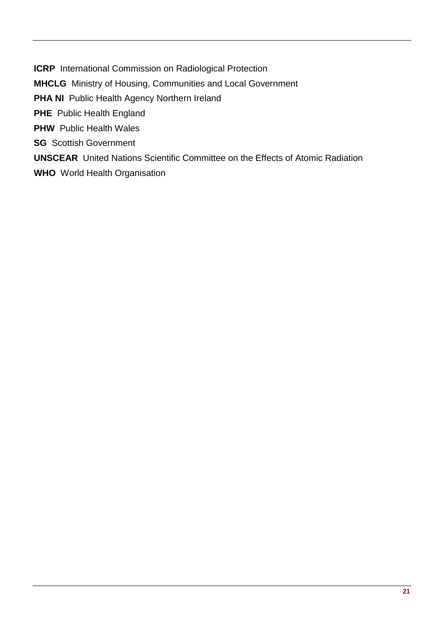**ICRP** International Commission on Radiological Protection

**MHCLG** Ministry of Housing, Communities and Local Government

**PHA NI** Public Health Agency Northern Ireland

**PHE** Public Health England

**PHW** Public Health Wales

**SG** Scottish Government

**UNSCEAR** United Nations Scientific Committee on the Effects of Atomic Radiation

**WHO** World Health Organisation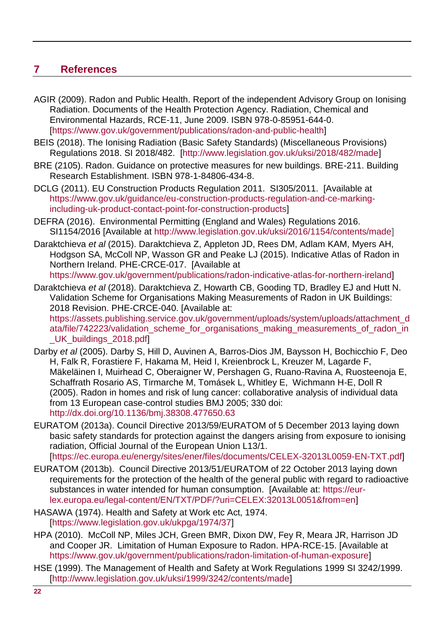## <span id="page-27-0"></span>**7 References**

- AGIR (2009). Radon and Public Health. Report of the independent Advisory Group on Ionising Radiation. Documents of the Health Protection Agency. Radiation, Chemical and Environmental Hazards, RCE-11, June 2009. ISBN 978-0-85951-644-0. [\[https://www.gov.uk/government/publications/radon-and-public-health\]](https://www.gov.uk/government/publications/radon-and-public-health)
- BEIS (2018). The Ionising Radiation (Basic Safety Standards) (Miscellaneous Provisions) Regulations 2018. SI 2018/482. [\[http://www.legislation.gov.uk/uksi/2018/482/made\]](http://www.legislation.gov.uk/uksi/2018/482/made)
- BRE (2105). Radon. Guidance on protective measures for new buildings. BRE-211. Building Research Establishment. ISBN 978-1-84806-434-8.
- DCLG (2011). EU Construction Products Regulation 2011. SI305/2011. [Available at [https://www.gov.uk/guidance/eu-construction-products-regulation-and-ce-marking](https://www.gov.uk/guidance/eu-construction-products-regulation-and-ce-marking-including-uk-product-contact-point-for-construction-products)[including-uk-product-contact-point-for-construction-products\]](https://www.gov.uk/guidance/eu-construction-products-regulation-and-ce-marking-including-uk-product-contact-point-for-construction-products)
- DEFRA (2016). Environmental Permitting (England and Wales) Regulations 2016. SI1154/2016 [Available at [http://www.legislation.gov.uk/uksi/2016/1154/contents/made\]](http://www.legislation.gov.uk/uksi/2016/1154/contents/made)
- Daraktchieva *et al* (2015). Daraktchieva Z, Appleton JD, Rees DM, Adlam KAM, Myers AH, Hodgson SA, McColl NP, Wasson GR and Peake LJ (2015). Indicative Atlas of Radon in Northern Ireland. PHE-CRCE-017. [Available at [https://www.gov.uk/government/publications/radon-indicative-atlas-for-northern-ireland\]](https://www.gov.uk/government/publications/radon-indicative-atlas-for-northern-ireland)
- Daraktchieva *et al* (2018). Daraktchieva Z, Howarth CB, Gooding TD, Bradley EJ and Hutt N. Validation Scheme for Organisations Making Measurements of Radon in UK Buildings: 2018 Revision. PHE-CRCE-040. [Available at: https://assets.publishing.service.gov.uk/government/uploads/system/uploads/attachment\_d

ata/file/742223/validation\_scheme\_for\_organisations\_making\_measurements\_of\_radon\_in \_UK\_buildings\_2018.pdf]

- Darby *et al* (2005). Darby S, Hill D, Auvinen A, Barros-Dios JM, Baysson H, Bochicchio F, Deo H, Falk R, Forastiere F, Hakama M, Heid I, Kreienbrock L, Kreuzer M, Lagarde F, Mäkeläinen I, Muirhead C, Oberaigner W, Pershagen G, Ruano-Ravina A, Ruosteenoja E, Schaffrath Rosario AS, Tirmarche M, Tomásek L, Whitley E, Wichmann H-E, Doll R (2005). Radon in homes and risk of lung cancer: collaborative analysis of individual data from 13 European case-control studies BMJ 2005; 330 doi: <http://dx.doi.org/10.1136/bmj.38308.477650.63>
- EURATOM (2013a). Council Directive 2013/59/EURATOM of 5 December 2013 laying down basic safety standards for protection against the dangers arising from exposure to ionising radiation, Official Journal of the European Union L13/1. [\[https://ec.europa.eu/energy/sites/ener/files/documents/CELEX-32013L0059-EN-TXT.pdf\]](https://ec.europa.eu/energy/sites/ener/files/documents/CELEX-32013L0059-EN-TXT.pdf)
- EURATOM (2013b). Council Directive 2013/51/EURATOM of 22 October 2013 laying down requirements for the protection of the health of the general public with regard to radioactive substances in water intended for human consumption. [Available at: [https://eur](https://eur-lex.europa.eu/legal-content/EN/TXT/PDF/?uri=CELEX:32013L0051&from=en)[lex.europa.eu/legal-content/EN/TXT/PDF/?uri=CELEX:32013L0051&from=en\]](https://eur-lex.europa.eu/legal-content/EN/TXT/PDF/?uri=CELEX:32013L0051&from=en)
- HASAWA (1974). Health and Safety at Work etc Act, 1974. [\[https://www.legislation.gov.uk/ukpga/1974/37\]](https://www.legislation.gov.uk/ukpga/1974/37)
- HPA (2010). McColl NP, Miles JCH, Green BMR, Dixon DW, Fey R, Meara JR, Harrison JD and Cooper JR. Limitation of Human Exposure to Radon. HPA-RCE-15. [Available at [https://www.gov.uk/government/publications/radon-limitation-of-human-exposure\]](https://www.gov.uk/government/publications/radon-limitation-of-human-exposure)
- HSE (1999). The Management of Health and Safety at Work Regulations 1999 SI 3242/1999. [\[http://www.legislation.gov.uk/uksi/1999/3242/contents/made\]](http://www.legislation.gov.uk/uksi/1999/3242/contents/made)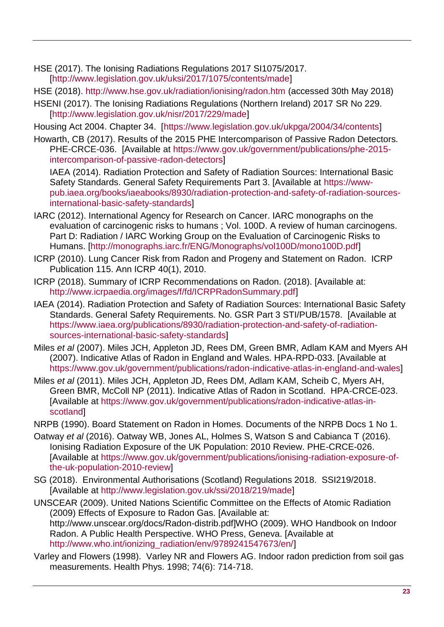HSE (2017). The Ionising Radiations Regulations 2017 SI1075/2017. [\[http://www.legislation.gov.uk/uksi/2017/1075/contents/made\]](http://www.legislation.gov.uk/uksi/2017/1075/contents/made)

HSE (2018).<http://www.hse.gov.uk/radiation/ionising/radon.htm> (accessed 30th May 2018)

HSENI (2017). The Ionising Radiations Regulations (Northern Ireland) 2017 SR No 229. [\[http://www.legislation.gov.uk/nisr/2017/229/made\]](http://www.legislation.gov.uk/nisr/2017/229/made)

Housing Act 2004. Chapter 34. [\[https://www.legislation.gov.uk/ukpga/2004/34/contents\]](https://www.legislation.gov.uk/ukpga/2004/34/contents)

Howarth, CB (2017). Results of the 2015 PHE Intercomparison of Passive Radon Detectors. PHE-CRCE-036. [Available at [https://www.gov.uk/government/publications/phe-2015](https://www.gov.uk/government/publications/phe-2015-intercomparison-of-passive-radon-detectors) [intercomparison-of-passive-radon-detectors\]](https://www.gov.uk/government/publications/phe-2015-intercomparison-of-passive-radon-detectors)

IAEA (2014). Radiation Protection and Safety of Radiation Sources: International Basic Safety Standards. General Safety Requirements Part 3. [Available at [https://www](https://www-pub.iaea.org/books/iaeabooks/8930/radiation-protection-and-safety-of-radiation-sources-international-basic-safety-standards)[pub.iaea.org/books/iaeabooks/8930/radiation-protection-and-safety-of-radiation-sources](https://www-pub.iaea.org/books/iaeabooks/8930/radiation-protection-and-safety-of-radiation-sources-international-basic-safety-standards)[international-basic-safety-standards\]](https://www-pub.iaea.org/books/iaeabooks/8930/radiation-protection-and-safety-of-radiation-sources-international-basic-safety-standards)

- IARC (2012). International Agency for Research on Cancer. IARC monographs on the evaluation of carcinogenic risks to humans ; Vol. 100D. A review of human carcinogens. Part D: Radiation / IARC Working Group on the Evaluation of Carcinogenic Risks to Humans. [\[http://monographs.iarc.fr/ENG/Monographs/vol100D/mono100D.pdf\]](http://monographs.iarc.fr/ENG/Monographs/vol100D/mono100D.pdf)
- ICRP (2010). Lung Cancer Risk from Radon and Progeny and Statement on Radon. ICRP Publication 115. Ann ICRP 40(1), 2010.
- ICRP (2018). Summary of ICRP Recommendations on Radon. (2018). [Available at: http://www.icrpaedia.org/images/f/fd/ICRPRadonSummary.pdf]
- IAEA (2014). Radiation Protection and Safety of Radiation Sources: International Basic Safety Standards. General Safety Requirements. No. GSR Part 3 STI/PUB/1578. [Available at [https://www.iaea.org/publications/8930/radiation-protection-and-safety-of-radiation](https://www.iaea.org/publications/8930/radiation-protection-and-safety-of-radiation-sources-international-basic-safety-standards)[sources-international-basic-safety-standards\]](https://www.iaea.org/publications/8930/radiation-protection-and-safety-of-radiation-sources-international-basic-safety-standards)
- Miles *et al* (2007). Miles JCH, Appleton JD, Rees DM, Green BMR, Adlam KAM and Myers AH (2007). Indicative Atlas of Radon in England and Wales. HPA-RPD-033. [Available at [https://www.gov.uk/government/publications/radon-indicative-atlas-in-england-and-wales\]](https://www.gov.uk/government/publications/radon-indicative-atlas-in-england-and-wales)
- Miles *et al* (2011). Miles JCH, Appleton JD, Rees DM, Adlam KAM, Scheib C, Myers AH, Green BMR, McColl NP (2011). Indicative Atlas of Radon in Scotland. HPA-CRCE-023. [Available at [https://www.gov.uk/government/publications/radon-indicative-atlas-in](https://www.gov.uk/government/publications/radon-indicative-atlas-in-scotland)[scotland\]](https://www.gov.uk/government/publications/radon-indicative-atlas-in-scotland)
- NRPB (1990). Board Statement on Radon in Homes. Documents of the NRPB Docs 1 No 1.
- Oatway *et al* (2016). Oatway WB, Jones AL, Holmes S, Watson S and Cabianca T (2016). Ionising Radiation Exposure of the UK Population: 2010 Review. PHE-CRCE-026. [Available at [https://www.gov.uk/government/publications/ionising-radiation-exposure-of](https://www.gov.uk/government/publications/ionising-radiation-exposure-of-the-uk-population-2010-review)[the-uk-population-2010-review\]](https://www.gov.uk/government/publications/ionising-radiation-exposure-of-the-uk-population-2010-review)
- SG (2018). Environmental Authorisations (Scotland) Regulations 2018. SSI219/2018. [Available at http://www.legislation.gov.uk/ssi/2018/219/made]
- UNSCEAR (2009). United Nations Scientific Committee on the Effects of Atomic Radiation (2009) Effects of Exposure to Radon Gas. [Available at: [http://www.unscear.org/docs/Radon-distrib.pdf\]](http://www.unscear.org/docs/Radon-distrib.pdf)WHO (2009). WHO Handbook on Indoor Radon. A Public Health Perspective. WHO Press, Geneva. [Available at [http://www.who.int/ionizing\\_radiation/env/9789241547673/en/\]](http://www.who.int/ionizing_radiation/env/9789241547673/en/)
- Varley and Flowers (1998). Varley NR and Flowers AG. Indoor radon prediction from soil gas measurements. Health Phys. 1998; 74(6): 714-718.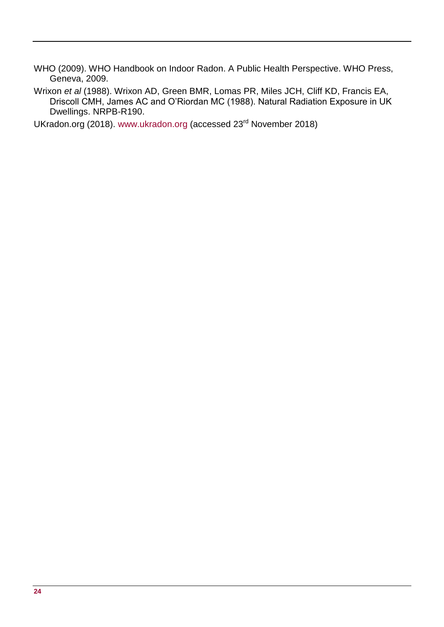WHO (2009). WHO Handbook on Indoor Radon. A Public Health Perspective. WHO Press, Geneva, 2009.

Wrixon *et al* (1988). Wrixon AD, Green BMR, Lomas PR, Miles JCH, Cliff KD, Francis EA, Driscoll CMH, James AC and O'Riordan MC (1988). Natural Radiation Exposure in UK Dwellings. NRPB-R190.

UKradon.org (2018). [www.ukradon.org](http://www.ukradon.org/) (accessed 23<sup>rd</sup> November 2018)